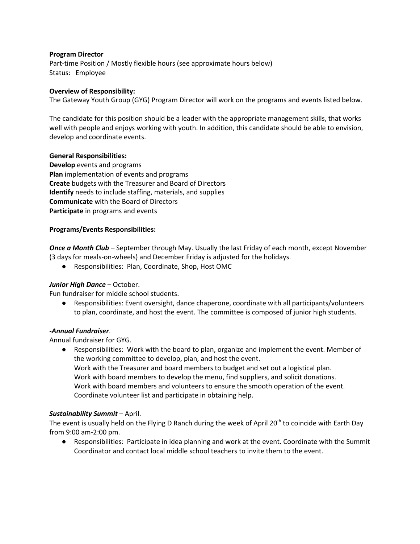# **Program Director**

Part-time Position / Mostly flexible hours (see approximate hours below) Status: Employee

### **Overview of Responsibility:**

The Gateway Youth Group (GYG) Program Director will work on the programs and events listed below.

The candidate for this position should be a leader with the appropriate management skills, that works well with people and enjoys working with youth. In addition, this candidate should be able to envision, develop and coordinate events.

## **General Responsibilities:**

**Develop** events and programs **Plan** implementation of events and programs **Create** budgets with the Treasurer and Board of Directors **Identify** needs to include staffing, materials, and supplies **Communicate** with the Board of Directors **Participate** in programs and events

## **Programs/Events Responsibilities:**

*Once a Month Club* – September through May. Usually the last Friday of each month, except November (3 days for meals-on-wheels) and December Friday is adjusted for the holidays.

● Responsibilities: Plan, Coordinate, Shop, Host OMC

# *Junior High Dance* – October.

Fun fundraiser for middle school students.

● Responsibilities: Event oversight, dance chaperone, coordinate with all participants/volunteers to plan, coordinate, and host the event. The committee is composed of junior high students.

### *-Annual Fundraiser*.

Annual fundraiser for GYG.

● Responsibilities: Work with the board to plan, organize and implement the event. Member of the working committee to develop, plan, and host the event. Work with the Treasurer and board members to budget and set out a logistical plan. Work with board members to develop the menu, find suppliers, and solicit donations. Work with board members and volunteers to ensure the smooth operation of the event. Coordinate volunteer list and participate in obtaining help.

# *Sustainability Summit* – April.

The event is usually held on the Flying D Ranch during the week of April 20<sup>th</sup> to coincide with Earth Day from 9:00 am-2:00 pm.

● Responsibilities: Participate in idea planning and work at the event. Coordinate with the Summit Coordinator and contact local middle school teachers to invite them to the event.